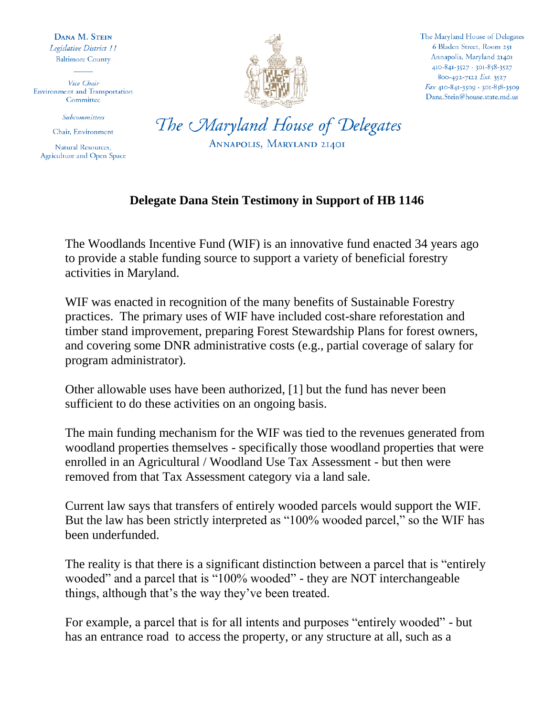DANA M. STEIN Legislative District 11 **Baltimore County** 

Vice Chair Environment and Transportation Committee

Subcommittees

Chair, Environment

Natural Resources, Agriculture and Open Space



The Maryland House of Delegates 6 Bladen Street, Room 251 Annapolis, Maryland 21401 410-841-3527 · 301-858-3527 800-492-7122 Ext. 3527 Fax 410-841-3509 · 301-858-3509 Dana.Stein@house.state.md.us

The Maryland House of Delegates ANNAPOLIS, MARYLAND 21401

## **Delegate Dana Stein Testimony in Support of HB 1146**

The Woodlands Incentive Fund (WIF) is an innovative fund enacted 34 years ago to provide a stable funding source to support a variety of beneficial forestry activities in Maryland.

WIF was enacted in recognition of the many benefits of Sustainable Forestry practices. The primary uses of WIF have included cost-share reforestation and timber stand improvement, preparing Forest Stewardship Plans for forest owners, and covering some DNR administrative costs (e.g., partial coverage of salary for program administrator).

Other allowable uses have been authorized, [1] but the fund has never been sufficient to do these activities on an ongoing basis.

The main funding mechanism for the WIF was tied to the revenues generated from woodland properties themselves - specifically those woodland properties that were enrolled in an Agricultural / Woodland Use Tax Assessment - but then were removed from that Tax Assessment category via a land sale.

Current law says that transfers of entirely wooded parcels would support the WIF. But the law has been strictly interpreted as "100% wooded parcel," so the WIF has been underfunded.

The reality is that there is a significant distinction between a parcel that is "entirely wooded" and a parcel that is "100% wooded" - they are NOT interchangeable things, although that's the way they've been treated.

For example, a parcel that is for all intents and purposes "entirely wooded" - but has an entrance road to access the property, or any structure at all, such as a